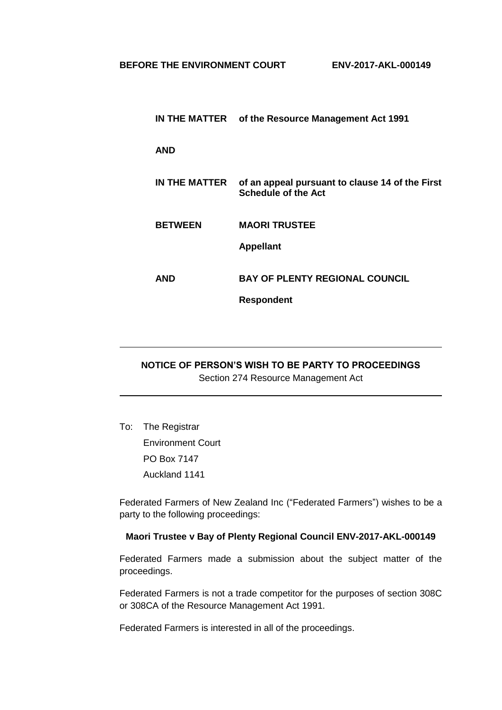|                | IN THE MATTER of the Resource Management Act 1991                             |
|----------------|-------------------------------------------------------------------------------|
| <b>AND</b>     |                                                                               |
| IN THE MATTER  | of an appeal pursuant to clause 14 of the First<br><b>Schedule of the Act</b> |
| <b>BETWEEN</b> | <b>MAORI TRUSTEE</b>                                                          |
|                | <b>Appellant</b>                                                              |
| AND            | <b>BAY OF PLENTY REGIONAL COUNCIL</b>                                         |
|                | <b>Respondent</b>                                                             |

## **NOTICE OF PERSON'S WISH TO BE PARTY TO PROCEEDINGS** Section 274 Resource Management Act

To: The Registrar Environment Court PO Box 7147 Auckland 1141

Federated Farmers of New Zealand Inc ("Federated Farmers") wishes to be a party to the following proceedings:

## **Maori Trustee v Bay of Plenty Regional Council ENV-2017-AKL-000149**

Federated Farmers made a submission about the subject matter of the proceedings.

Federated Farmers is not a trade competitor for the purposes of section 308C or 308CA of the Resource Management Act 1991.

Federated Farmers is interested in all of the proceedings.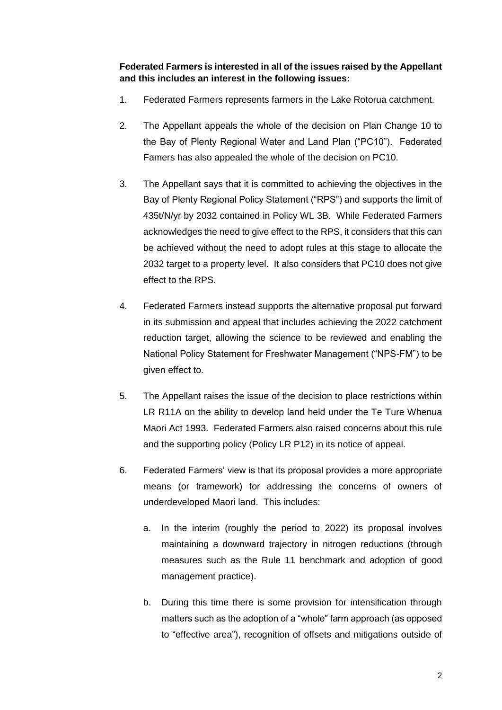**Federated Farmers is interested in all of the issues raised by the Appellant and this includes an interest in the following issues:**

- 1. Federated Farmers represents farmers in the Lake Rotorua catchment.
- 2. The Appellant appeals the whole of the decision on Plan Change 10 to the Bay of Plenty Regional Water and Land Plan ("PC10"). Federated Famers has also appealed the whole of the decision on PC10.
- 3. The Appellant says that it is committed to achieving the objectives in the Bay of Plenty Regional Policy Statement ("RPS") and supports the limit of 435t/N/yr by 2032 contained in Policy WL 3B. While Federated Farmers acknowledges the need to give effect to the RPS, it considers that this can be achieved without the need to adopt rules at this stage to allocate the 2032 target to a property level. It also considers that PC10 does not give effect to the RPS.
- 4. Federated Farmers instead supports the alternative proposal put forward in its submission and appeal that includes achieving the 2022 catchment reduction target, allowing the science to be reviewed and enabling the National Policy Statement for Freshwater Management ("NPS-FM") to be given effect to.
- 5. The Appellant raises the issue of the decision to place restrictions within LR R11A on the ability to develop land held under the Te Ture Whenua Maori Act 1993. Federated Farmers also raised concerns about this rule and the supporting policy (Policy LR P12) in its notice of appeal.
- 6. Federated Farmers' view is that its proposal provides a more appropriate means (or framework) for addressing the concerns of owners of underdeveloped Maori land. This includes:
	- a. In the interim (roughly the period to 2022) its proposal involves maintaining a downward trajectory in nitrogen reductions (through measures such as the Rule 11 benchmark and adoption of good management practice).
	- b. During this time there is some provision for intensification through matters such as the adoption of a "whole" farm approach (as opposed to "effective area"), recognition of offsets and mitigations outside of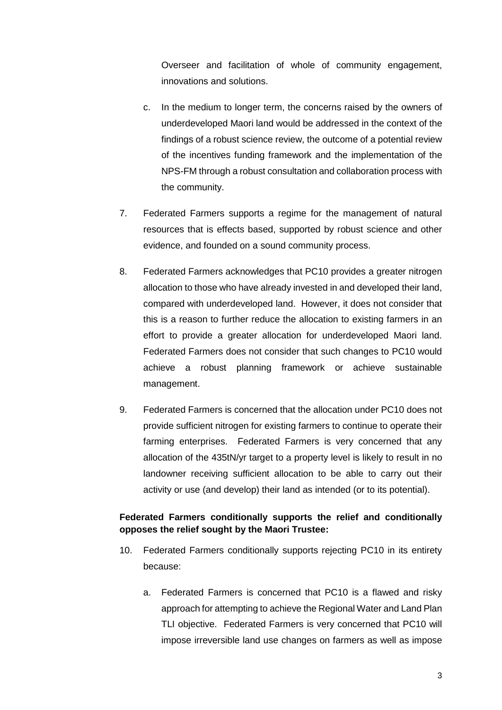Overseer and facilitation of whole of community engagement, innovations and solutions.

- c. In the medium to longer term, the concerns raised by the owners of underdeveloped Maori land would be addressed in the context of the findings of a robust science review, the outcome of a potential review of the incentives funding framework and the implementation of the NPS-FM through a robust consultation and collaboration process with the community.
- 7. Federated Farmers supports a regime for the management of natural resources that is effects based, supported by robust science and other evidence, and founded on a sound community process.
- 8. Federated Farmers acknowledges that PC10 provides a greater nitrogen allocation to those who have already invested in and developed their land, compared with underdeveloped land. However, it does not consider that this is a reason to further reduce the allocation to existing farmers in an effort to provide a greater allocation for underdeveloped Maori land. Federated Farmers does not consider that such changes to PC10 would achieve a robust planning framework or achieve sustainable management.
- 9. Federated Farmers is concerned that the allocation under PC10 does not provide sufficient nitrogen for existing farmers to continue to operate their farming enterprises. Federated Farmers is very concerned that any allocation of the 435tN/yr target to a property level is likely to result in no landowner receiving sufficient allocation to be able to carry out their activity or use (and develop) their land as intended (or to its potential).

## **Federated Farmers conditionally supports the relief and conditionally opposes the relief sought by the Maori Trustee:**

- 10. Federated Farmers conditionally supports rejecting PC10 in its entirety because:
	- a. Federated Farmers is concerned that PC10 is a flawed and risky approach for attempting to achieve the Regional Water and Land Plan TLI objective. Federated Farmers is very concerned that PC10 will impose irreversible land use changes on farmers as well as impose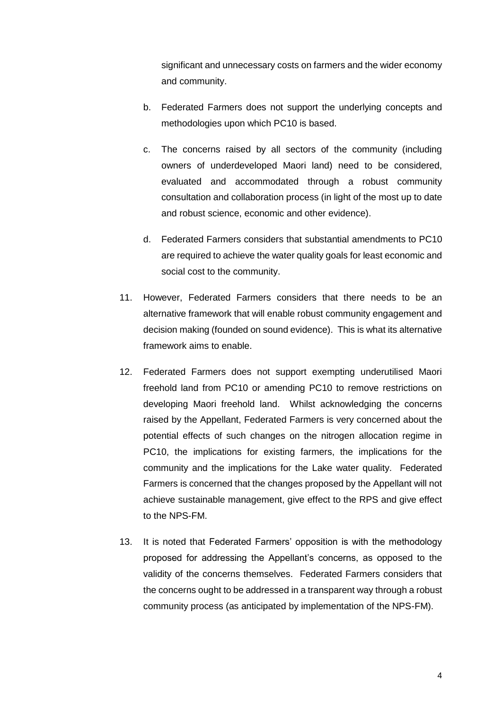significant and unnecessary costs on farmers and the wider economy and community.

- b. Federated Farmers does not support the underlying concepts and methodologies upon which PC10 is based.
- c. The concerns raised by all sectors of the community (including owners of underdeveloped Maori land) need to be considered, evaluated and accommodated through a robust community consultation and collaboration process (in light of the most up to date and robust science, economic and other evidence).
- d. Federated Farmers considers that substantial amendments to PC10 are required to achieve the water quality goals for least economic and social cost to the community.
- 11. However, Federated Farmers considers that there needs to be an alternative framework that will enable robust community engagement and decision making (founded on sound evidence). This is what its alternative framework aims to enable.
- 12. Federated Farmers does not support exempting underutilised Maori freehold land from PC10 or amending PC10 to remove restrictions on developing Maori freehold land. Whilst acknowledging the concerns raised by the Appellant, Federated Farmers is very concerned about the potential effects of such changes on the nitrogen allocation regime in PC10, the implications for existing farmers, the implications for the community and the implications for the Lake water quality. Federated Farmers is concerned that the changes proposed by the Appellant will not achieve sustainable management, give effect to the RPS and give effect to the NPS-FM.
- 13. It is noted that Federated Farmers' opposition is with the methodology proposed for addressing the Appellant's concerns, as opposed to the validity of the concerns themselves. Federated Farmers considers that the concerns ought to be addressed in a transparent way through a robust community process (as anticipated by implementation of the NPS-FM).